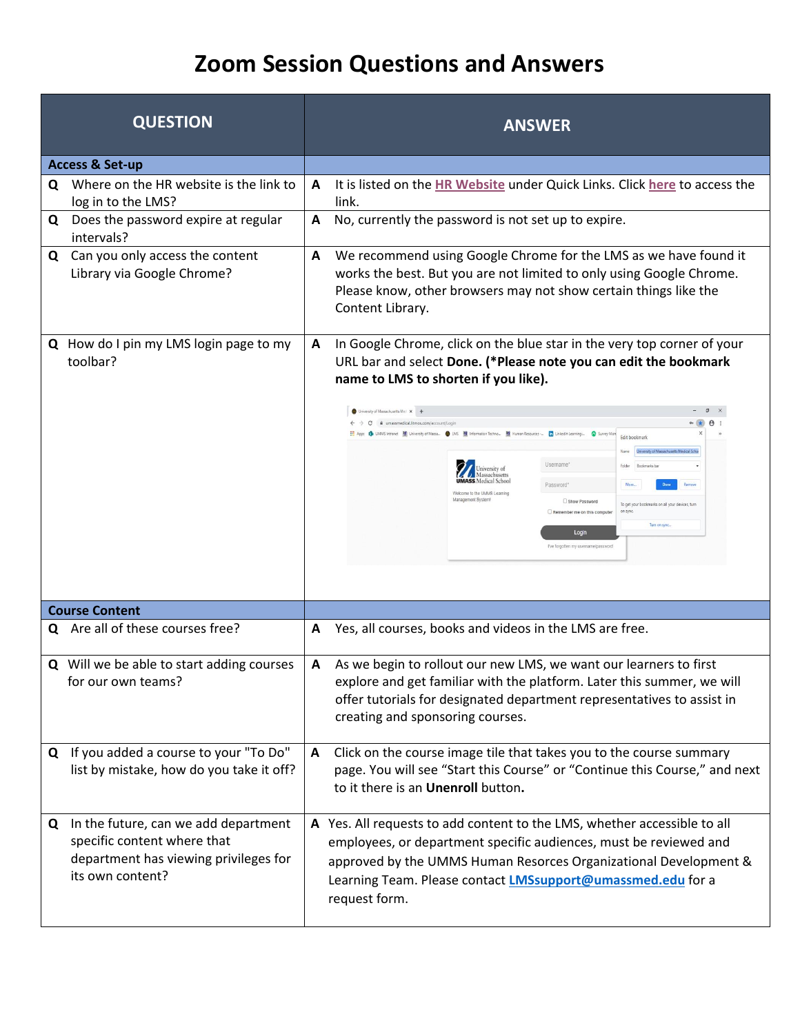| <b>QUESTION</b>                                                                                                                       | <b>ANSWER</b>                                                                                                                                                                                                                                                                                                                                                                                                                                                                                                                                                                                                                                                                                                                                                                                          |  |  |
|---------------------------------------------------------------------------------------------------------------------------------------|--------------------------------------------------------------------------------------------------------------------------------------------------------------------------------------------------------------------------------------------------------------------------------------------------------------------------------------------------------------------------------------------------------------------------------------------------------------------------------------------------------------------------------------------------------------------------------------------------------------------------------------------------------------------------------------------------------------------------------------------------------------------------------------------------------|--|--|
| <b>Access &amp; Set-up</b>                                                                                                            |                                                                                                                                                                                                                                                                                                                                                                                                                                                                                                                                                                                                                                                                                                                                                                                                        |  |  |
| Where on the HR website is the link to<br>Q<br>log in to the LMS?                                                                     | It is listed on the HR Website under Quick Links. Click here to access the<br>A<br>link.                                                                                                                                                                                                                                                                                                                                                                                                                                                                                                                                                                                                                                                                                                               |  |  |
| Does the password expire at regular<br>Q<br>intervals?                                                                                | No, currently the password is not set up to expire.<br>A                                                                                                                                                                                                                                                                                                                                                                                                                                                                                                                                                                                                                                                                                                                                               |  |  |
| Can you only access the content<br>Q<br>Library via Google Chrome?                                                                    | We recommend using Google Chrome for the LMS as we have found it<br>A<br>works the best. But you are not limited to only using Google Chrome.<br>Please know, other browsers may not show certain things like the<br>Content Library.                                                                                                                                                                                                                                                                                                                                                                                                                                                                                                                                                                  |  |  |
| Q How do I pin my LMS login page to my<br>toolbar?                                                                                    | In Google Chrome, click on the blue star in the very top corner of your<br>A<br>URL bar and select Done. (*Please note you can edit the bookmark<br>name to LMS to shorten if you like).<br>University of Massachusetts Med X +<br>$\sigma$<br>$\times$<br>i umassmedical.litmos.com/account/Logi<br>1 UMMS Intranet 2 University of Massa. ● LMS 2 Information Techno 2 Human Resources ~ [n] LinkedIn Learning<br>Edit bookmark<br>University of Massachusetts Medical Scho<br><b>Username</b><br>Bookmarks b<br>Jniversity of<br>Aassachusetts<br><b>MASS</b> Medical School<br>Password*<br>Velcome to the UMMS Learning<br>Management Systemt<br>Show Password<br>To get your bookmarks on all your devices, turn<br>Remember me on this computer<br>Login<br>I've forgotten my username/password |  |  |
| <b>Course Content</b>                                                                                                                 |                                                                                                                                                                                                                                                                                                                                                                                                                                                                                                                                                                                                                                                                                                                                                                                                        |  |  |
| Are all of these courses free?<br>Q                                                                                                   | Yes, all courses, books and videos in the LMS are free.<br>A                                                                                                                                                                                                                                                                                                                                                                                                                                                                                                                                                                                                                                                                                                                                           |  |  |
| <b>Q</b> Will we be able to start adding courses<br>for our own teams?                                                                | As we begin to rollout our new LMS, we want our learners to first<br>A<br>explore and get familiar with the platform. Later this summer, we will<br>offer tutorials for designated department representatives to assist in<br>creating and sponsoring courses.                                                                                                                                                                                                                                                                                                                                                                                                                                                                                                                                         |  |  |
| Q If you added a course to your "To Do"<br>list by mistake, how do you take it off?                                                   | Click on the course image tile that takes you to the course summary<br>A<br>page. You will see "Start this Course" or "Continue this Course," and next<br>to it there is an Unenroll button.                                                                                                                                                                                                                                                                                                                                                                                                                                                                                                                                                                                                           |  |  |
| In the future, can we add department<br>Q<br>specific content where that<br>department has viewing privileges for<br>its own content? | A Yes. All requests to add content to the LMS, whether accessible to all<br>employees, or department specific audiences, must be reviewed and<br>approved by the UMMS Human Resorces Organizational Development &<br>Learning Team. Please contact <b>LMSsupport@umassmed.edu</b> for a<br>request form.                                                                                                                                                                                                                                                                                                                                                                                                                                                                                               |  |  |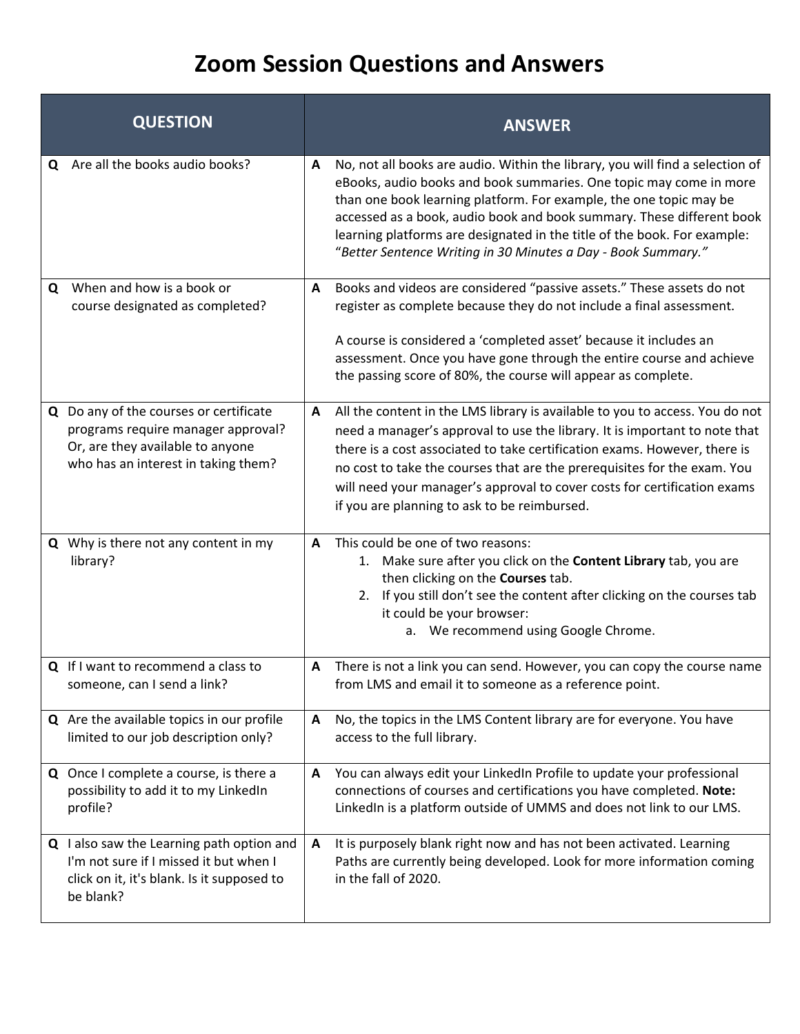|   | <b>QUESTION</b>                                                                                                                                         |              | <b>ANSWER</b>                                                                                                                                                                                                                                                                                                                                                                                                                                   |
|---|---------------------------------------------------------------------------------------------------------------------------------------------------------|--------------|-------------------------------------------------------------------------------------------------------------------------------------------------------------------------------------------------------------------------------------------------------------------------------------------------------------------------------------------------------------------------------------------------------------------------------------------------|
| Q | Are all the books audio books?                                                                                                                          | A            | No, not all books are audio. Within the library, you will find a selection of<br>eBooks, audio books and book summaries. One topic may come in more<br>than one book learning platform. For example, the one topic may be<br>accessed as a book, audio book and book summary. These different book<br>learning platforms are designated in the title of the book. For example:<br>"Better Sentence Writing in 30 Minutes a Day - Book Summary." |
| Q | When and how is a book or<br>course designated as completed?                                                                                            | A            | Books and videos are considered "passive assets." These assets do not<br>register as complete because they do not include a final assessment.<br>A course is considered a 'completed asset' because it includes an<br>assessment. Once you have gone through the entire course and achieve<br>the passing score of 80%, the course will appear as complete.                                                                                     |
|   | Q Do any of the courses or certificate<br>programs require manager approval?<br>Or, are they available to anyone<br>who has an interest in taking them? | A            | All the content in the LMS library is available to you to access. You do not<br>need a manager's approval to use the library. It is important to note that<br>there is a cost associated to take certification exams. However, there is<br>no cost to take the courses that are the prerequisites for the exam. You<br>will need your manager's approval to cover costs for certification exams<br>if you are planning to ask to be reimbursed. |
|   | <b>Q</b> Why is there not any content in my<br>library?                                                                                                 | A            | This could be one of two reasons:<br>1. Make sure after you click on the Content Library tab, you are<br>then clicking on the Courses tab.<br>2. If you still don't see the content after clicking on the courses tab<br>it could be your browser:<br>a. We recommend using Google Chrome.                                                                                                                                                      |
|   | Q If I want to recommend a class to<br>someone, can I send a link?                                                                                      | A            | There is not a link you can send. However, you can copy the course name<br>from LMS and email it to someone as a reference point.                                                                                                                                                                                                                                                                                                               |
|   | Q Are the available topics in our profile<br>limited to our job description only?                                                                       | A            | No, the topics in the LMS Content library are for everyone. You have<br>access to the full library.                                                                                                                                                                                                                                                                                                                                             |
|   | Q Once I complete a course, is there a<br>possibility to add it to my LinkedIn<br>profile?                                                              | A            | You can always edit your LinkedIn Profile to update your professional<br>connections of courses and certifications you have completed. Note:<br>LinkedIn is a platform outside of UMMS and does not link to our LMS.                                                                                                                                                                                                                            |
|   | Q I also saw the Learning path option and<br>I'm not sure if I missed it but when I<br>click on it, it's blank. Is it supposed to<br>be blank?          | $\mathbf{A}$ | It is purposely blank right now and has not been activated. Learning<br>Paths are currently being developed. Look for more information coming<br>in the fall of 2020.                                                                                                                                                                                                                                                                           |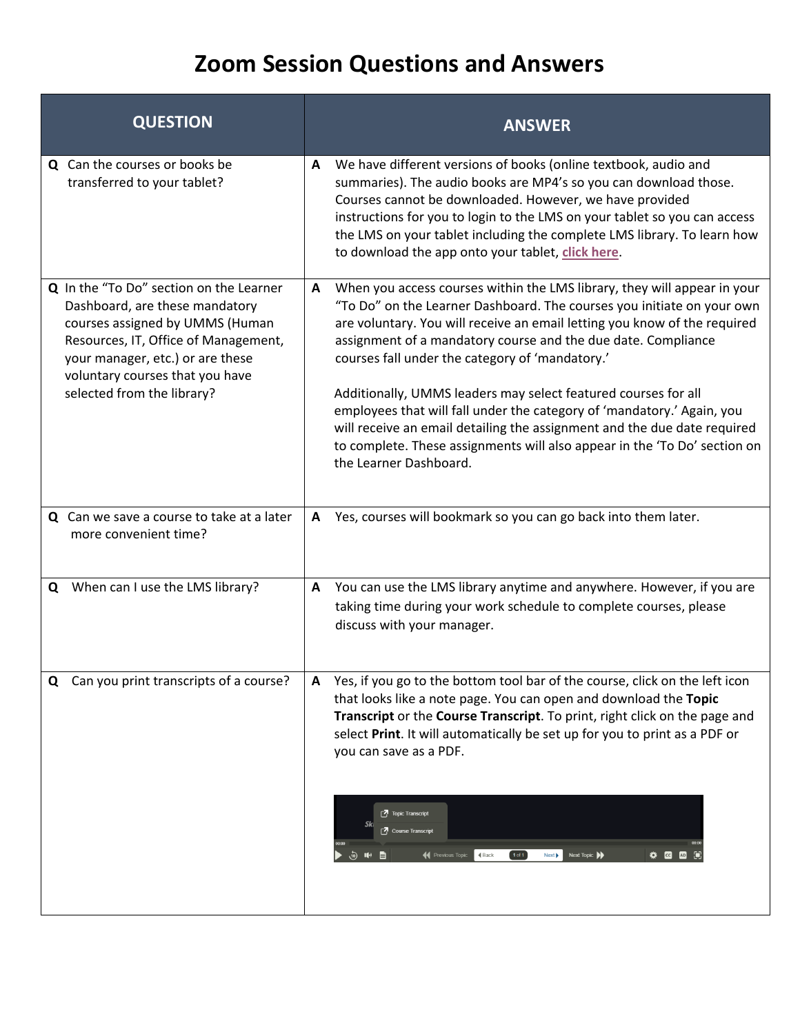| <b>QUESTION</b>                                                                                                                                                                                                                                           |                                                                 | <b>ANSWER</b>                                                                                                                                                                                                                                                                                                                                                                                                                                                                                                                                                                                                                                            |
|-----------------------------------------------------------------------------------------------------------------------------------------------------------------------------------------------------------------------------------------------------------|-----------------------------------------------------------------|----------------------------------------------------------------------------------------------------------------------------------------------------------------------------------------------------------------------------------------------------------------------------------------------------------------------------------------------------------------------------------------------------------------------------------------------------------------------------------------------------------------------------------------------------------------------------------------------------------------------------------------------------------|
| <b>Q</b> Can the courses or books be<br>transferred to your tablet?                                                                                                                                                                                       |                                                                 | We have different versions of books (online textbook, audio and<br>summaries). The audio books are MP4's so you can download those.<br>Courses cannot be downloaded. However, we have provided<br>instructions for you to login to the LMS on your tablet so you can access<br>the LMS on your tablet including the complete LMS library. To learn how<br>to download the app onto your tablet, click here.                                                                                                                                                                                                                                              |
| Q In the "To Do" section on the Learner<br>Dashboard, are these mandatory<br>courses assigned by UMMS (Human<br>Resources, IT, Office of Management,<br>your manager, etc.) or are these<br>voluntary courses that you have<br>selected from the library? | the Learner Dashboard.                                          | When you access courses within the LMS library, they will appear in your<br>"To Do" on the Learner Dashboard. The courses you initiate on your own<br>are voluntary. You will receive an email letting you know of the required<br>assignment of a mandatory course and the due date. Compliance<br>courses fall under the category of 'mandatory.'<br>Additionally, UMMS leaders may select featured courses for all<br>employees that will fall under the category of 'mandatory.' Again, you<br>will receive an email detailing the assignment and the due date required<br>to complete. These assignments will also appear in the 'To Do' section on |
| Q Can we save a course to take at a later<br>more convenient time?                                                                                                                                                                                        |                                                                 | Yes, courses will bookmark so you can go back into them later.                                                                                                                                                                                                                                                                                                                                                                                                                                                                                                                                                                                           |
| When can I use the LMS library?<br>Q                                                                                                                                                                                                                      | discuss with your manager.                                      | You can use the LMS library anytime and anywhere. However, if you are<br>taking time during your work schedule to complete courses, please                                                                                                                                                                                                                                                                                                                                                                                                                                                                                                               |
| Can you print transcripts of a course?<br>Q                                                                                                                                                                                                               | you can save as a PDF.<br>Topic Transcript<br>Course Transcript | Yes, if you go to the bottom tool bar of the course, click on the left icon<br>that looks like a note page. You can open and download the Topic<br>Transcript or the Course Transcript. To print, right click on the page and<br>select Print. It will automatically be set up for you to print as a PDF or                                                                                                                                                                                                                                                                                                                                              |
|                                                                                                                                                                                                                                                           |                                                                 | <b>44</b> Previous Topic<br>4 Back<br>$1$ of $1$<br>Next Topic<br>19 20 20 32<br>Next                                                                                                                                                                                                                                                                                                                                                                                                                                                                                                                                                                    |